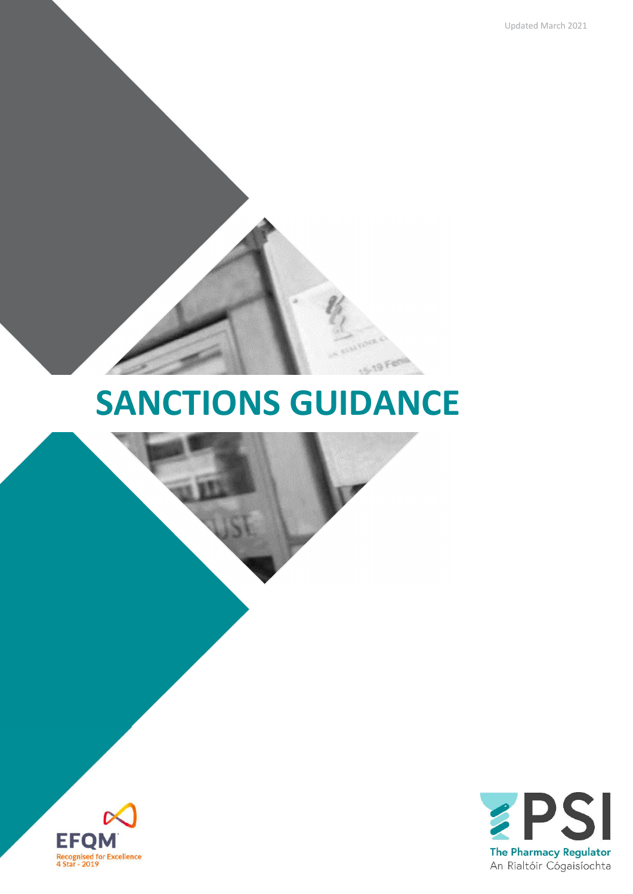Updated March 2021

# **SANCTIONS GUIDANCE**

 $-19$ 



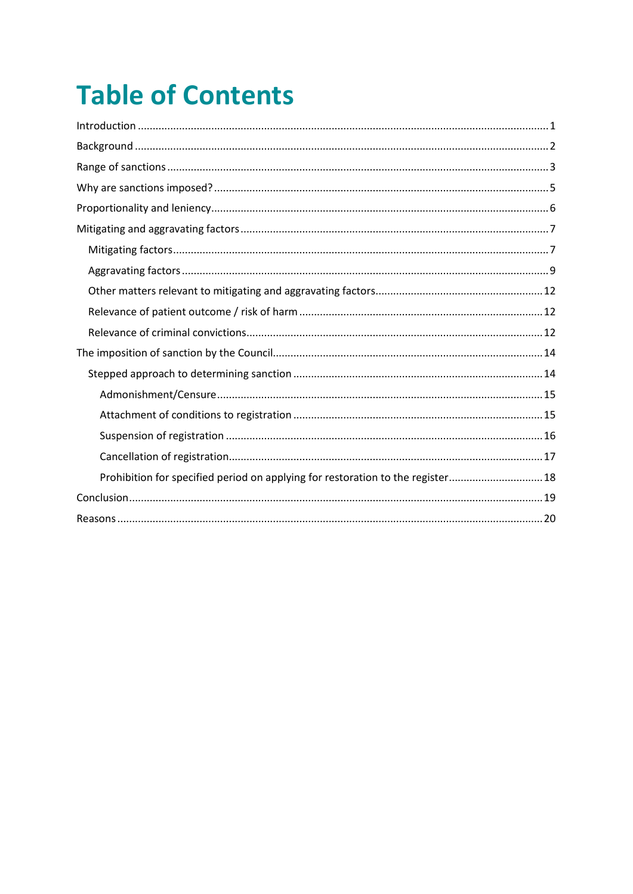# **Table of Contents**

| Prohibition for specified period on applying for restoration to the register 18 |  |
|---------------------------------------------------------------------------------|--|
|                                                                                 |  |
|                                                                                 |  |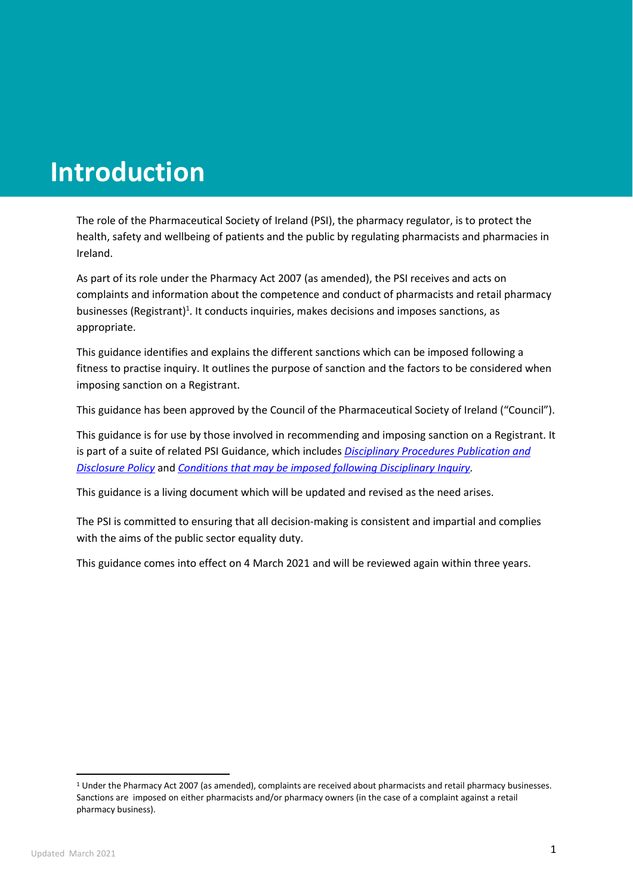# **Introduction**

The role of the Pharmaceutical Society of Ireland (PSI), the pharmacy regulator, is to protect the health, safety and wellbeing of patients and the public by regulating pharmacists and pharmacies in Ireland.

As part of its role under the Pharmacy Act 2007 (as amended), the PSI receives and acts on complaints and information about the competence and conduct of pharmacists and retail pharmacy businesses (Registrant)<sup>1</sup>. It conducts inquiries, makes decisions and imposes sanctions, as appropriate.

This guidance identifies and explains the different sanctions which can be imposed following a fitness to practise inquiry. It outlines the purpose of sanction and the factors to be considered when imposing sanction on a Registrant.

This guidance has been approved by the Council of the Pharmaceutical Society of Ireland ("Council").

This guidance is for use by those involved in recommending and imposing sanction on a Registrant. It is part of a suite of related PSI Guidance, which includes *Disciplinary Procedures Publication and Disclosure Policy* and *Conditions that may be imposed following Disciplinary Inquiry.*

This guidance is a living document which will be updated and revised as the need arises.

The PSI is committed to ensuring that all decision-making is consistent and impartial and complies with the aims of the public sector equality duty.

This guidance comes into effect on 4 March 2021 and will be reviewed again within three years.

<sup>1</sup> Under the Pharmacy Act 2007 (as amended), complaints are received about pharmacists and retail pharmacy businesses. Sanctions are imposed on either pharmacists and/or pharmacy owners (in the case of a complaint against a retail pharmacy business).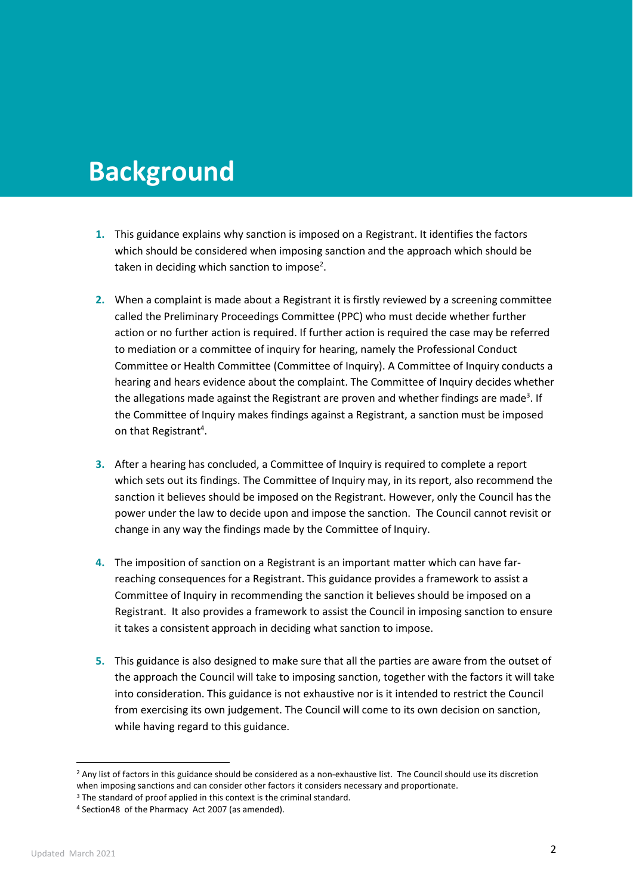## **Background**

- **1.** This guidance explains why sanction is imposed on a Registrant. It identifies the factors which should be considered when imposing sanction and the approach which should be taken in deciding which sanction to impose<sup>2</sup>.
- **2.** When a complaint is made about a Registrant it is firstly reviewed by a screening committee called the Preliminary Proceedings Committee (PPC) who must decide whether further action or no further action is required. If further action is required the case may be referred to mediation or a committee of inquiry for hearing, namely the Professional Conduct Committee or Health Committee (Committee of Inquiry). A Committee of Inquiry conducts a hearing and hears evidence about the complaint. The Committee of Inquiry decides whether the allegations made against the Registrant are proven and whether findings are made<sup>3</sup>. If the Committee of Inquiry makes findings against a Registrant, a sanction must be imposed on that Registrant<sup>4</sup>.
- **3.** After a hearing has concluded, a Committee of Inquiry is required to complete a report which sets out its findings. The Committee of Inquiry may, in its report, also recommend the sanction it believes should be imposed on the Registrant. However, only the Council has the power under the law to decide upon and impose the sanction. The Council cannot revisit or change in any way the findings made by the Committee of Inquiry.
- **4.** The imposition of sanction on a Registrant is an important matter which can have farreaching consequences for a Registrant. This guidance provides a framework to assist a Committee of Inquiry in recommending the sanction it believes should be imposed on a Registrant. It also provides a framework to assist the Council in imposing sanction to ensure it takes a consistent approach in deciding what sanction to impose.
- **5.** This guidance is also designed to make sure that all the parties are aware from the outset of the approach the Council will take to imposing sanction, together with the factors it will take into consideration. This guidance is not exhaustive nor is it intended to restrict the Council from exercising its own judgement. The Council will come to its own decision on sanction, while having regard to this guidance.

<sup>&</sup>lt;sup>2</sup> Any list of factors in this guidance should be considered as a non-exhaustive list. The Council should use its discretion when imposing sanctions and can consider other factors it considers necessary and proportionate.

<sup>&</sup>lt;sup>3</sup> The standard of proof applied in this context is the criminal standard.

<sup>4</sup> Section48 of the Pharmacy Act 2007 (as amended).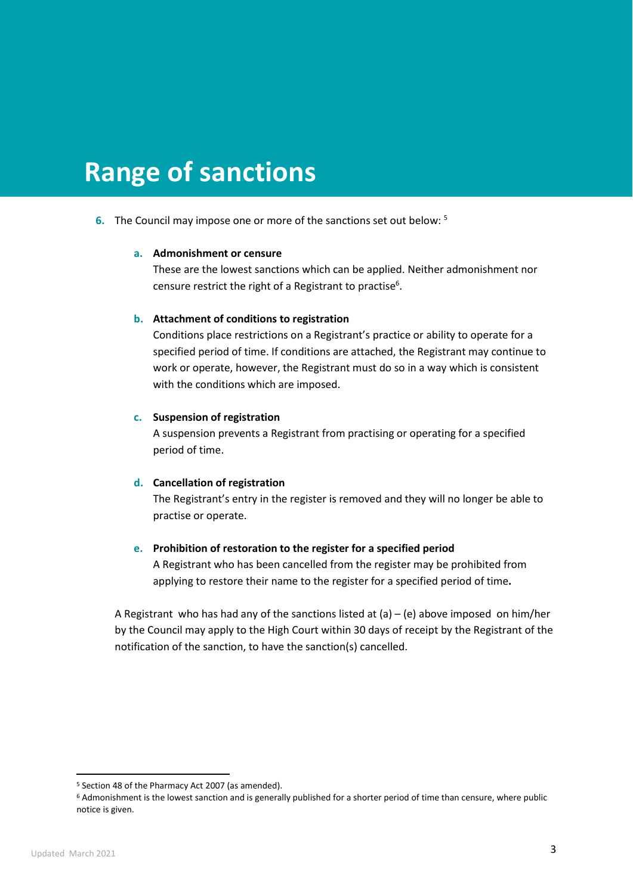## **Range of sanctions**

**6.** The Council may impose one or more of the sanctions set out below: 5

#### **a. Admonishment or censure**

These are the lowest sanctions which can be applied. Neither admonishment nor censure restrict the right of a Registrant to practise<sup>6</sup>.

#### **b. Attachment of conditions to registration**

Conditions place restrictions on a Registrant's practice or ability to operate for a specified period of time. If conditions are attached, the Registrant may continue to work or operate, however, the Registrant must do so in a way which is consistent with the conditions which are imposed.

#### **c. Suspension of registration**

A suspension prevents a Registrant from practising or operating for a specified period of time.

#### **d. Cancellation of registration**

The Registrant's entry in the register is removed and they will no longer be able to practise or operate.

#### **e. Prohibition of restoration to the register for a specified period**

A Registrant who has been cancelled from the register may be prohibited from applying to restore their name to the register for a specified period of time**.** 

A Registrant who has had any of the sanctions listed at (a) – (e) above imposed on him/her by the Council may apply to the High Court within 30 days of receipt by the Registrant of the notification of the sanction, to have the sanction(s) cancelled.

<sup>5</sup> Section 48 of the Pharmacy Act 2007 (as amended).

<sup>6</sup> Admonishment is the lowest sanction and is generally published for a shorter period of time than censure, where public notice is given.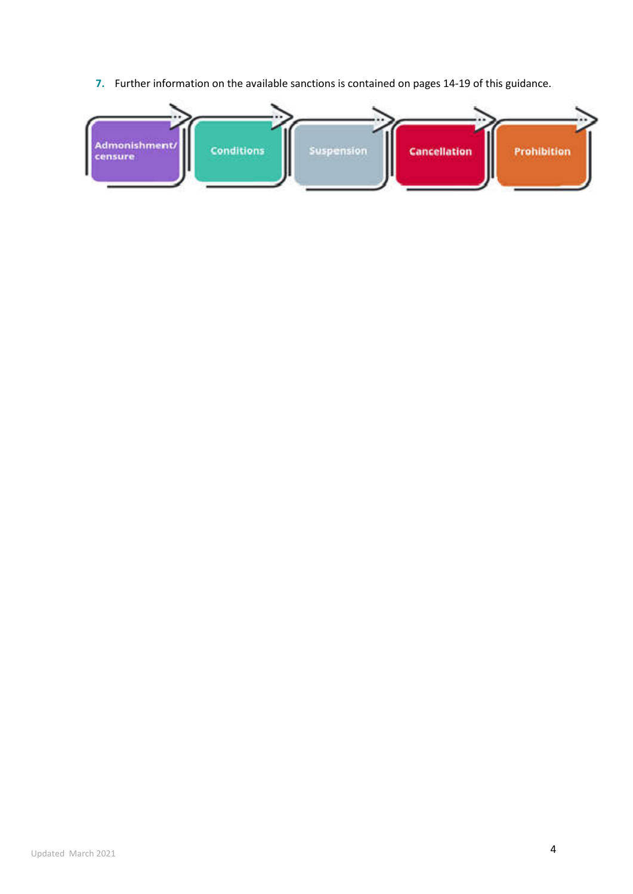**7.** Further information on the available sanctions is contained on pages 14-19 of this guidance.

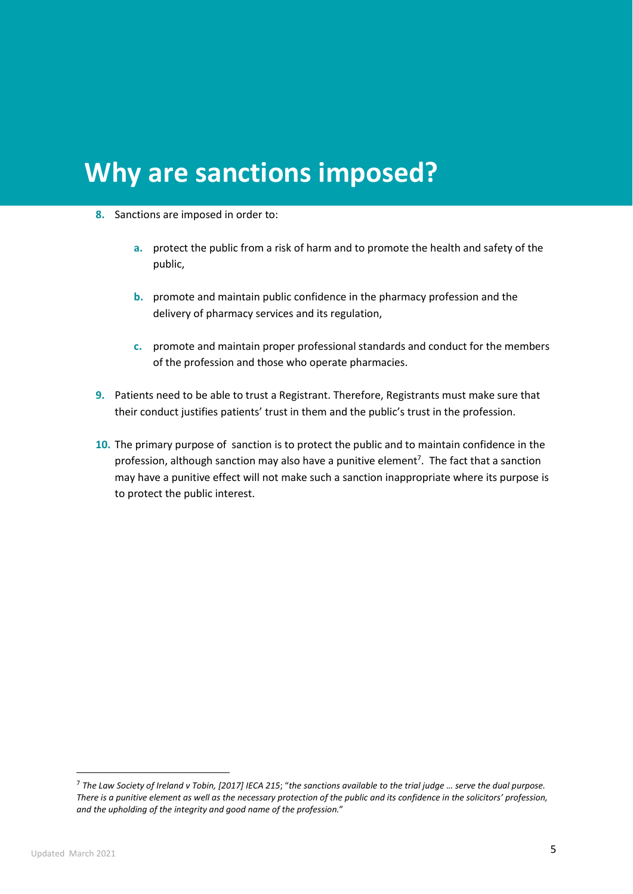# **Why are sanctions imposed?**

- **8.** Sanctions are imposed in order to:
	- **a.** protect the public from a risk of harm and to promote the health and safety of the public,
	- **b.** promote and maintain public confidence in the pharmacy profession and the delivery of pharmacy services and its regulation,
	- **c.** promote and maintain proper professional standards and conduct for the members of the profession and those who operate pharmacies.
- **9.** Patients need to be able to trust a Registrant. Therefore, Registrants must make sure that their conduct justifies patients' trust in them and the public's trust in the profession.
- **10.** The primary purpose of sanction is to protect the public and to maintain confidence in the profession, although sanction may also have a punitive element<sup>7</sup>. The fact that a sanction may have a punitive effect will not make such a sanction inappropriate where its purpose is to protect the public interest.

<sup>7</sup> *The Law Society of Ireland v Tobin, [2017] IECA 215*; "*the sanctions available to the trial judge … serve the dual purpose. There is a punitive element as well as the necessary protection of the public and its confidence in the solicitors' profession, and the upholding of the integrity and good name of the profession.*"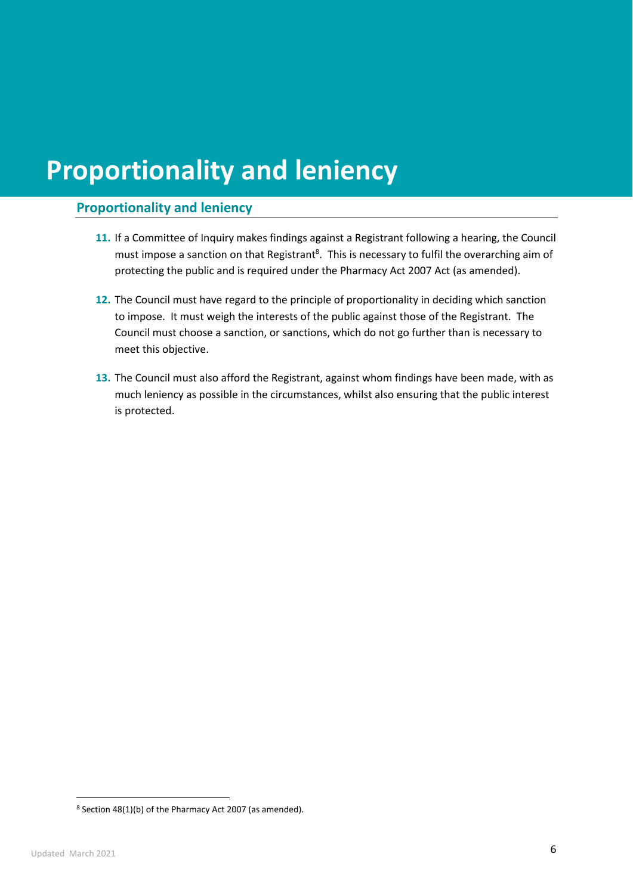# **Proportionality and leniency**

### **Proportionality and leniency**

- **11.** If a Committee of Inquiry makes findings against a Registrant following a hearing, the Council must impose a sanction on that Registrant<sup>8</sup>. This is necessary to fulfil the overarching aim of protecting the public and is required under the Pharmacy Act 2007 Act (as amended).
- **12.** The Council must have regard to the principle of proportionality in deciding which sanction to impose. It must weigh the interests of the public against those of the Registrant. The Council must choose a sanction, or sanctions, which do not go further than is necessary to meet this objective.
- **13.** The Council must also afford the Registrant, against whom findings have been made, with as much leniency as possible in the circumstances, whilst also ensuring that the public interest is protected.

<sup>8</sup> Section 48(1)(b) of the Pharmacy Act 2007 (as amended).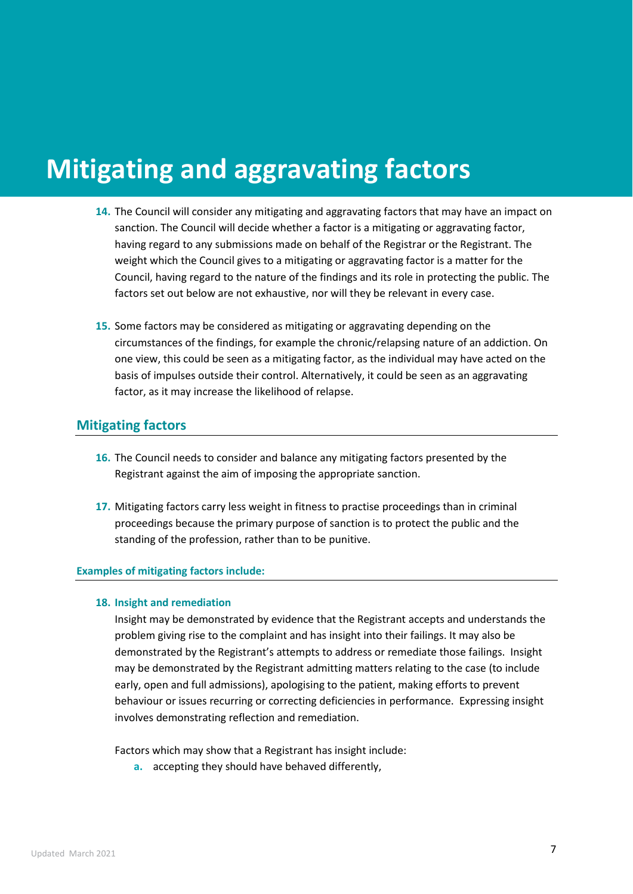# **Mitigating and aggravating factors**

- **14.** The Council will consider any mitigating and aggravating factors that may have an impact on sanction. The Council will decide whether a factor is a mitigating or aggravating factor, having regard to any submissions made on behalf of the Registrar or the Registrant. The weight which the Council gives to a mitigating or aggravating factor is a matter for the Council, having regard to the nature of the findings and its role in protecting the public. The factors set out below are not exhaustive, nor will they be relevant in every case.
- **15.** Some factors may be considered as mitigating or aggravating depending on the circumstances of the findings, for example the chronic/relapsing nature of an addiction. On one view, this could be seen as a mitigating factor, as the individual may have acted on the basis of impulses outside their control. Alternatively, it could be seen as an aggravating factor, as it may increase the likelihood of relapse.

### **Mitigating factors**

- **16.** The Council needs to consider and balance any mitigating factors presented by the Registrant against the aim of imposing the appropriate sanction.
- **17.** Mitigating factors carry less weight in fitness to practise proceedings than in criminal proceedings because the primary purpose of sanction is to protect the public and the standing of the profession, rather than to be punitive.

#### **Examples of mitigating factors include:**

#### **18. Insight and remediation**

Insight may be demonstrated by evidence that the Registrant accepts and understands the problem giving rise to the complaint and has insight into their failings. It may also be demonstrated by the Registrant's attempts to address or remediate those failings. Insight may be demonstrated by the Registrant admitting matters relating to the case (to include early, open and full admissions), apologising to the patient, making efforts to prevent behaviour or issues recurring or correcting deficiencies in performance. Expressing insight involves demonstrating reflection and remediation.

Factors which may show that a Registrant has insight include:

**a.** accepting they should have behaved differently,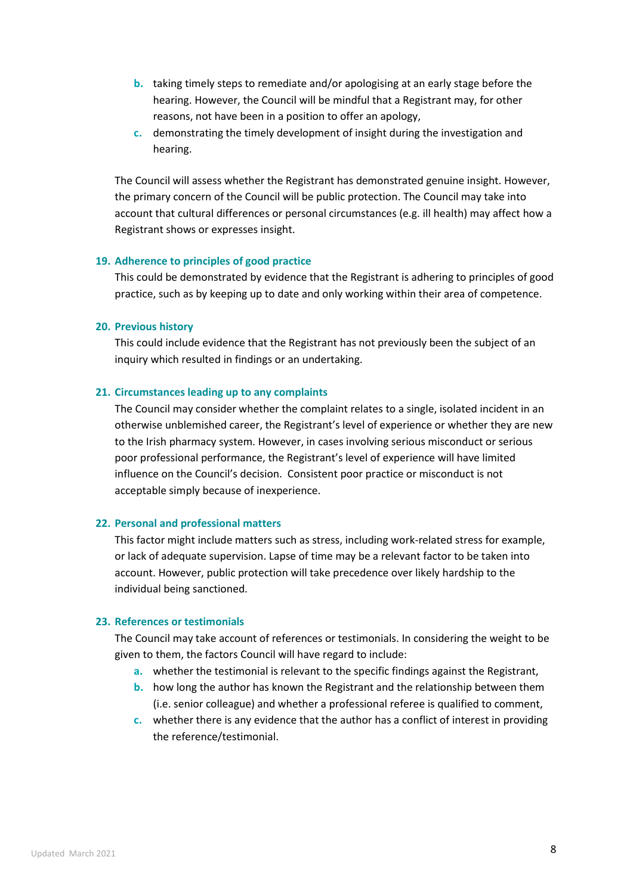- **b.** taking timely steps to remediate and/or apologising at an early stage before the hearing. However, the Council will be mindful that a Registrant may, for other reasons, not have been in a position to offer an apology,
- **c.** demonstrating the timely development of insight during the investigation and hearing.

The Council will assess whether the Registrant has demonstrated genuine insight. However, the primary concern of the Council will be public protection. The Council may take into account that cultural differences or personal circumstances (e.g. ill health) may affect how a Registrant shows or expresses insight.

#### **19. Adherence to principles of good practice**

This could be demonstrated by evidence that the Registrant is adhering to principles of good practice, such as by keeping up to date and only working within their area of competence.

#### **20. Previous history**

This could include evidence that the Registrant has not previously been the subject of an inquiry which resulted in findings or an undertaking.

#### **21. Circumstances leading up to any complaints**

The Council may consider whether the complaint relates to a single, isolated incident in an otherwise unblemished career, the Registrant's level of experience or whether they are new to the Irish pharmacy system. However, in cases involving serious misconduct or serious poor professional performance, the Registrant's level of experience will have limited influence on the Council's decision. Consistent poor practice or misconduct is not acceptable simply because of inexperience.

#### **22. Personal and professional matters**

This factor might include matters such as stress, including work-related stress for example, or lack of adequate supervision. Lapse of time may be a relevant factor to be taken into account. However, public protection will take precedence over likely hardship to the individual being sanctioned.

#### **23. References or testimonials**

The Council may take account of references or testimonials. In considering the weight to be given to them, the factors Council will have regard to include:

- **a.** whether the testimonial is relevant to the specific findings against the Registrant,
- **b.** how long the author has known the Registrant and the relationship between them (i.e. senior colleague) and whether a professional referee is qualified to comment,
- **c.** whether there is any evidence that the author has a conflict of interest in providing the reference/testimonial.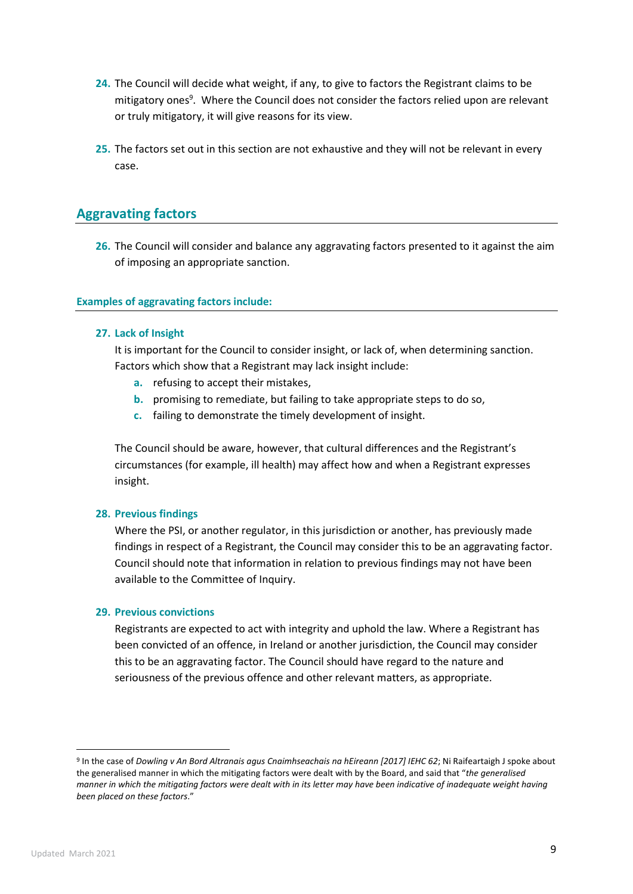- **24.** The Council will decide what weight, if any, to give to factors the Registrant claims to be mitigatory ones<sup>9</sup>. Where the Council does not consider the factors relied upon are relevant or truly mitigatory, it will give reasons for its view.
- **25.** The factors set out in this section are not exhaustive and they will not be relevant in every case.

### **Aggravating factors**

**26.** The Council will consider and balance any aggravating factors presented to it against the aim of imposing an appropriate sanction.

#### **Examples of aggravating factors include:**

#### **27. Lack of Insight**

It is important for the Council to consider insight, or lack of, when determining sanction. Factors which show that a Registrant may lack insight include:

- **a.** refusing to accept their mistakes,
- **b.** promising to remediate, but failing to take appropriate steps to do so,
- **c.** failing to demonstrate the timely development of insight.

The Council should be aware, however, that cultural differences and the Registrant's circumstances (for example, ill health) may affect how and when a Registrant expresses insight.

#### **28. Previous findings**

Where the PSI, or another regulator, in this jurisdiction or another, has previously made findings in respect of a Registrant, the Council may consider this to be an aggravating factor. Council should note that information in relation to previous findings may not have been available to the Committee of Inquiry.

#### **29. Previous convictions**

Registrants are expected to act with integrity and uphold the law. Where a Registrant has been convicted of an offence, in Ireland or another jurisdiction, the Council may consider this to be an aggravating factor. The Council should have regard to the nature and seriousness of the previous offence and other relevant matters, as appropriate.

<sup>9</sup> In the case of *Dowling v An Bord Altranais agus Cnaimhseachais na hEireann [2017] IEHC 62*; Ni Raifeartaigh J spoke about the generalised manner in which the mitigating factors were dealt with by the Board, and said that "*the generalised manner in which the mitigating factors were dealt with in its letter may have been indicative of inadequate weight having been placed on these factors*."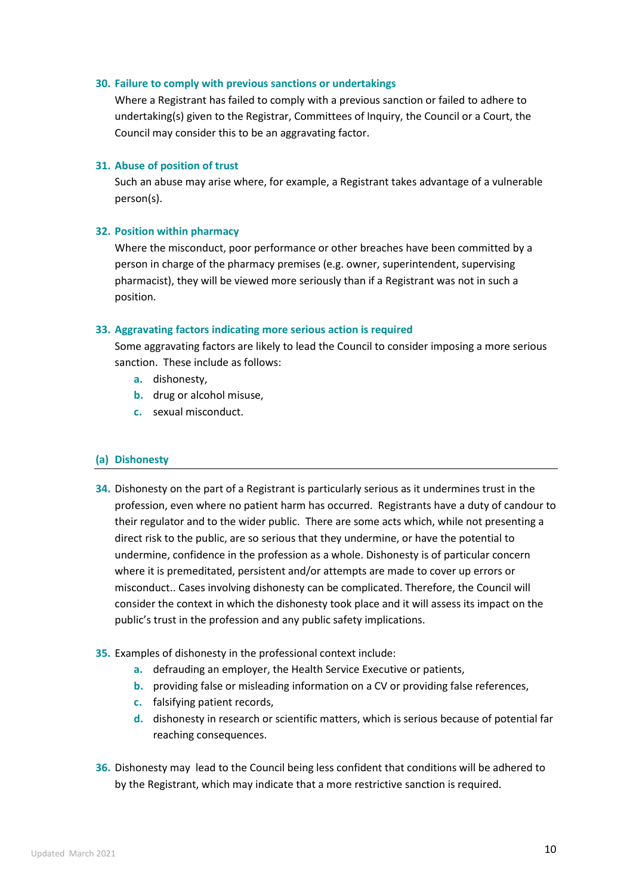#### **30. Failure to comply with previous sanctions or undertakings**

Where a Registrant has failed to comply with a previous sanction or failed to adhere to undertaking(s) given to the Registrar, Committees of Inquiry, the Council or a Court, the Council may consider this to be an aggravating factor.

#### **31. Abuse of position of trust**

Such an abuse may arise where, for example, a Registrant takes advantage of a vulnerable person(s).

#### **32. Position within pharmacy**

Where the misconduct, poor performance or other breaches have been committed by a person in charge of the pharmacy premises (e.g. owner, superintendent, supervising pharmacist), they will be viewed more seriously than if a Registrant was not in such a position.

#### **33. Aggravating factors indicating more serious action is required**

Some aggravating factors are likely to lead the Council to consider imposing a more serious sanction. These include as follows:

- **a.** dishonesty,
- **b.** drug or alcohol misuse,
- **c.** sexual misconduct.

#### **(a) Dishonesty**

- **34.** Dishonesty on the part of a Registrant is particularly serious as it undermines trust in the profession, even where no patient harm has occurred. Registrants have a duty of candour to their regulator and to the wider public. There are some acts which, while not presenting a direct risk to the public, are so serious that they undermine, or have the potential to undermine, confidence in the profession as a whole. Dishonesty is of particular concern where it is premeditated, persistent and/or attempts are made to cover up errors or misconduct.. Cases involving dishonesty can be complicated. Therefore, the Council will consider the context in which the dishonesty took place and it will assess its impact on the public's trust in the profession and any public safety implications.
- **35.** Examples of dishonesty in the professional context include:
	- **a.** defrauding an employer, the Health Service Executive or patients,
	- **b.** providing false or misleading information on a CV or providing false references,
	- **c.** falsifying patient records,
	- **d.** dishonesty in research or scientific matters, which is serious because of potential far reaching consequences.
- **36.** Dishonesty may lead to the Council being less confident that conditions will be adhered to by the Registrant, which may indicate that a more restrictive sanction is required.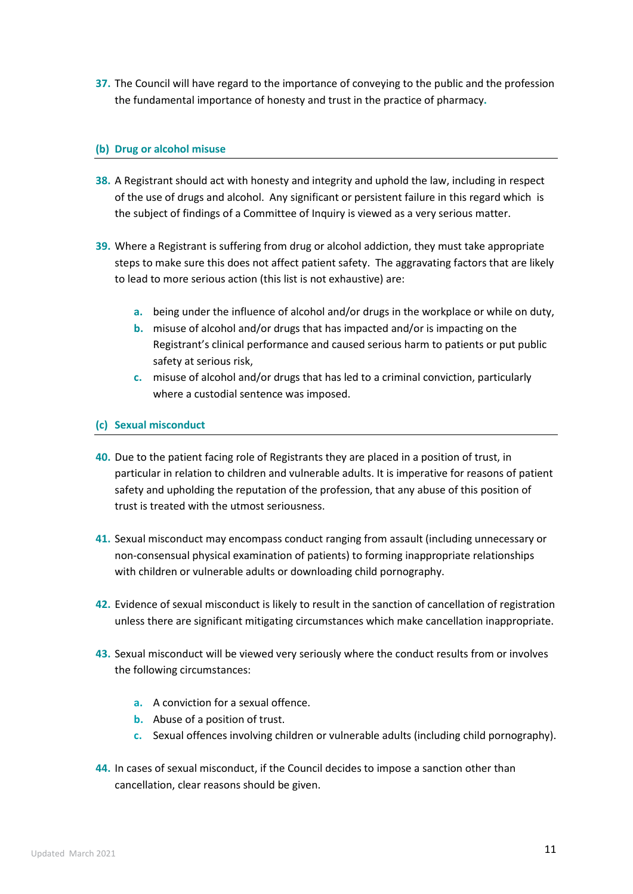**37.** The Council will have regard to the importance of conveying to the public and the profession the fundamental importance of honesty and trust in the practice of pharmacy**.** 

#### **(b) Drug or alcohol misuse**

- **38.** A Registrant should act with honesty and integrity and uphold the law, including in respect of the use of drugs and alcohol. Any significant or persistent failure in this regard which is the subject of findings of a Committee of Inquiry is viewed as a very serious matter.
- **39.** Where a Registrant is suffering from drug or alcohol addiction, they must take appropriate steps to make sure this does not affect patient safety. The aggravating factors that are likely to lead to more serious action (this list is not exhaustive) are:
	- **a.** being under the influence of alcohol and/or drugs in the workplace or while on duty,
	- **b.** misuse of alcohol and/or drugs that has impacted and/or is impacting on the Registrant's clinical performance and caused serious harm to patients or put public safety at serious risk,
	- **c.** misuse of alcohol and/or drugs that has led to a criminal conviction, particularly where a custodial sentence was imposed.

#### **(c) Sexual misconduct**

- **40.** Due to the patient facing role of Registrants they are placed in a position of trust, in particular in relation to children and vulnerable adults. It is imperative for reasons of patient safety and upholding the reputation of the profession, that any abuse of this position of trust is treated with the utmost seriousness.
- **41.** Sexual misconduct may encompass conduct ranging from assault (including unnecessary or non-consensual physical examination of patients) to forming inappropriate relationships with children or vulnerable adults or downloading child pornography.
- **42.** Evidence of sexual misconduct is likely to result in the sanction of cancellation of registration unless there are significant mitigating circumstances which make cancellation inappropriate.
- **43.** Sexual misconduct will be viewed very seriously where the conduct results from or involves the following circumstances:
	- **a.** A conviction for a sexual offence.
	- **b.** Abuse of a position of trust.
	- **c.** Sexual offences involving children or vulnerable adults (including child pornography).
- **44.** In cases of sexual misconduct, if the Council decides to impose a sanction other than cancellation, clear reasons should be given.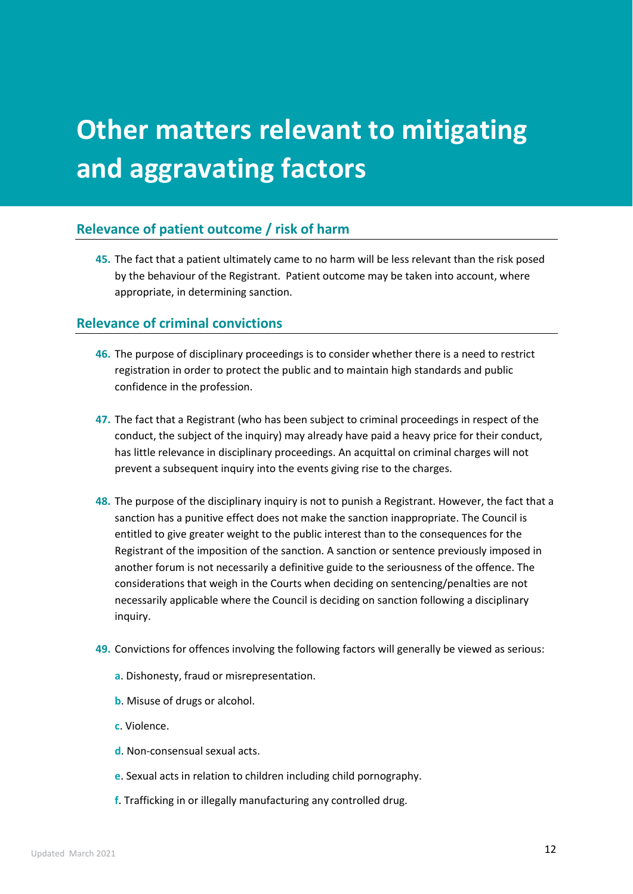# **Other matters relevant to mitigating and aggravating factors**

### **Relevance of patient outcome / risk of harm**

**45.** The fact that a patient ultimately came to no harm will be less relevant than the risk posed by the behaviour of the Registrant. Patient outcome may be taken into account, where appropriate, in determining sanction.

### **Relevance of criminal convictions**

- **46.** The purpose of disciplinary proceedings is to consider whether there is a need to restrict registration in order to protect the public and to maintain high standards and public confidence in the profession.
- **47.** The fact that a Registrant (who has been subject to criminal proceedings in respect of the conduct, the subject of the inquiry) may already have paid a heavy price for their conduct, has little relevance in disciplinary proceedings. An acquittal on criminal charges will not prevent a subsequent inquiry into the events giving rise to the charges.
- **48.** The purpose of the disciplinary inquiry is not to punish a Registrant. However, the fact that a sanction has a punitive effect does not make the sanction inappropriate. The Council is entitled to give greater weight to the public interest than to the consequences for the Registrant of the imposition of the sanction. A sanction or sentence previously imposed in another forum is not necessarily a definitive guide to the seriousness of the offence. The considerations that weigh in the Courts when deciding on sentencing/penalties are not necessarily applicable where the Council is deciding on sanction following a disciplinary inquiry.
- **49.** Convictions for offences involving the following factors will generally be viewed as serious:
	- **a**. Dishonesty, fraud or misrepresentation.
	- **b**. Misuse of drugs or alcohol.
	- **c**. Violence.
	- **d**. Non-consensual sexual acts.
	- **e**. Sexual acts in relation to children including child pornography.
	- **f**. Trafficking in or illegally manufacturing any controlled drug.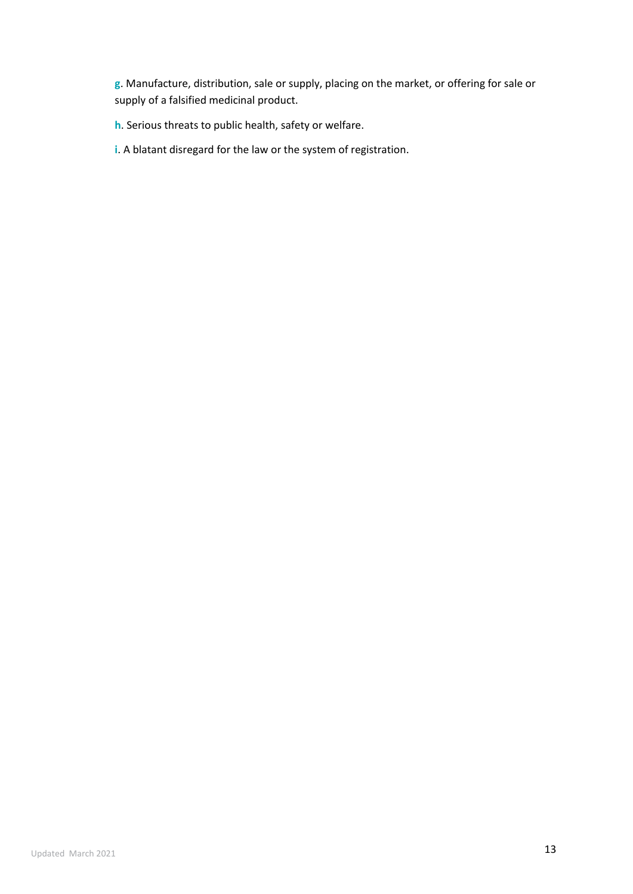**g**. Manufacture, distribution, sale or supply, placing on the market, or offering for sale or supply of a falsified medicinal product.

**h**. Serious threats to public health, safety or welfare.

**i**. A blatant disregard for the law or the system of registration.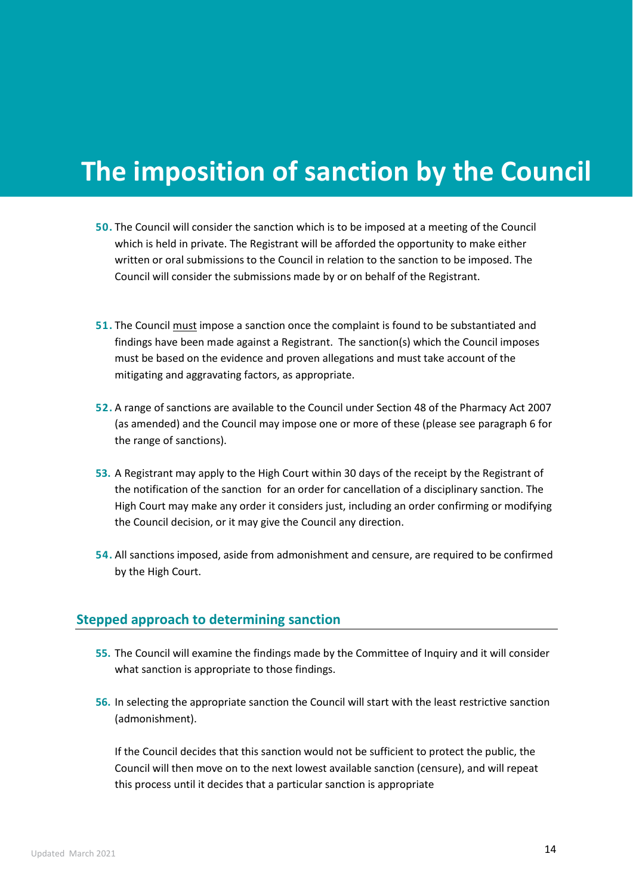# **The imposition of sanction by the Council**

- **50.** The Council will consider the sanction which is to be imposed at a meeting of the Council which is held in private. The Registrant will be afforded the opportunity to make either written or oral submissions to the Council in relation to the sanction to be imposed. The Council will consider the submissions made by or on behalf of the Registrant.
- **51.** The Council must impose a sanction once the complaint is found to be substantiated and findings have been made against a Registrant. The sanction(s) which the Council imposes must be based on the evidence and proven allegations and must take account of the mitigating and aggravating factors, as appropriate.
- **52.** A range of sanctions are available to the Council under Section 48 of the Pharmacy Act 2007 (as amended) and the Council may impose one or more of these (please see paragraph 6 for the range of sanctions).
- **53.** A Registrant may apply to the High Court within 30 days of the receipt by the Registrant of the notification of the sanction for an order for cancellation of a disciplinary sanction. The High Court may make any order it considers just, including an order confirming or modifying the Council decision, or it may give the Council any direction.
- **54.** All sanctions imposed, aside from admonishment and censure, are required to be confirmed by the High Court.

### **Stepped approach to determining sanction**

- **55.** The Council will examine the findings made by the Committee of Inquiry and it will consider what sanction is appropriate to those findings.
- **56.** In selecting the appropriate sanction the Council will start with the least restrictive sanction (admonishment).

If the Council decides that this sanction would not be sufficient to protect the public, the Council will then move on to the next lowest available sanction (censure), and will repeat this process until it decides that a particular sanction is appropriate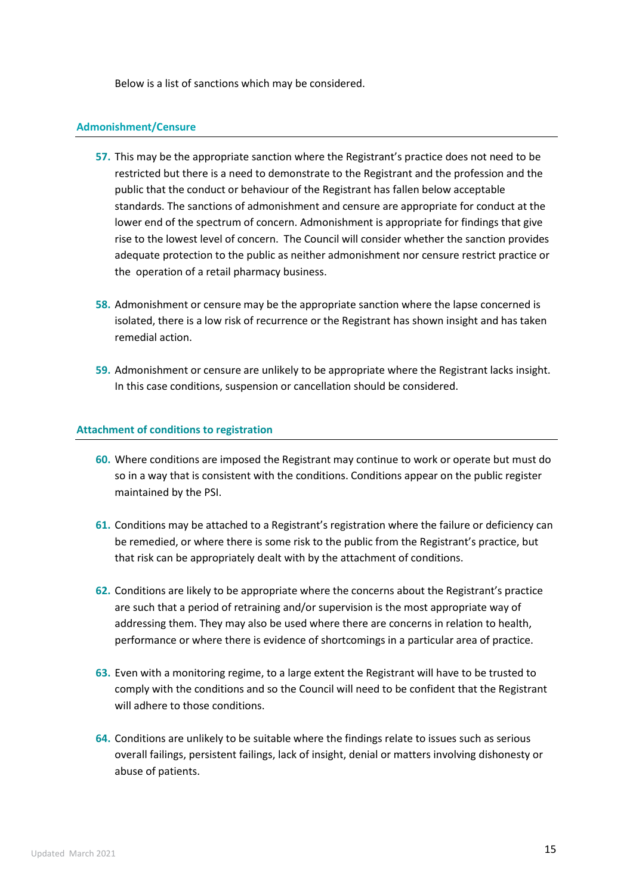Below is a list of sanctions which may be considered.

#### **Admonishment/Censure**

- **57.** This may be the appropriate sanction where the Registrant's practice does not need to be restricted but there is a need to demonstrate to the Registrant and the profession and the public that the conduct or behaviour of the Registrant has fallen below acceptable standards. The sanctions of admonishment and censure are appropriate for conduct at the lower end of the spectrum of concern. Admonishment is appropriate for findings that give rise to the lowest level of concern. The Council will consider whether the sanction provides adequate protection to the public as neither admonishment nor censure restrict practice or the operation of a retail pharmacy business.
- **58.** Admonishment or censure may be the appropriate sanction where the lapse concerned is isolated, there is a low risk of recurrence or the Registrant has shown insight and has taken remedial action.
- **59.** Admonishment or censure are unlikely to be appropriate where the Registrant lacks insight. In this case conditions, suspension or cancellation should be considered.

#### **Attachment of conditions to registration**

- **60.** Where conditions are imposed the Registrant may continue to work or operate but must do so in a way that is consistent with the conditions. Conditions appear on the public register maintained by the PSI.
- **61.** Conditions may be attached to a Registrant's registration where the failure or deficiency can be remedied, or where there is some risk to the public from the Registrant's practice, but that risk can be appropriately dealt with by the attachment of conditions.
- **62.** Conditions are likely to be appropriate where the concerns about the Registrant's practice are such that a period of retraining and/or supervision is the most appropriate way of addressing them. They may also be used where there are concerns in relation to health, performance or where there is evidence of shortcomings in a particular area of practice.
- **63.** Even with a monitoring regime, to a large extent the Registrant will have to be trusted to comply with the conditions and so the Council will need to be confident that the Registrant will adhere to those conditions.
- **64.** Conditions are unlikely to be suitable where the findings relate to issues such as serious overall failings, persistent failings, lack of insight, denial or matters involving dishonesty or abuse of patients.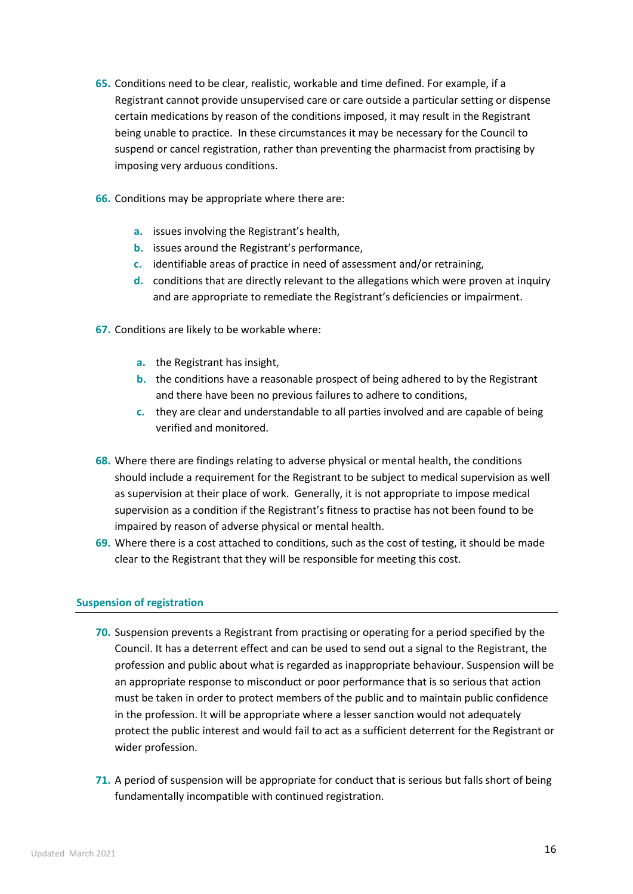- **65.** Conditions need to be clear, realistic, workable and time defined. For example, if a Registrant cannot provide unsupervised care or care outside a particular setting or dispense certain medications by reason of the conditions imposed, it may result in the Registrant being unable to practice. In these circumstances it may be necessary for the Council to suspend or cancel registration, rather than preventing the pharmacist from practising by imposing very arduous conditions.
- **66.** Conditions may be appropriate where there are:
	- **a.** issues involving the Registrant's health,
	- **b.** issues around the Registrant's performance,
	- **c.** identifiable areas of practice in need of assessment and/or retraining,
	- **d.** conditions that are directly relevant to the allegations which were proven at inquiry and are appropriate to remediate the Registrant's deficiencies or impairment.
- **67.** Conditions are likely to be workable where:
	- **a.** the Registrant has insight,
	- **b.** the conditions have a reasonable prospect of being adhered to by the Registrant and there have been no previous failures to adhere to conditions,
	- **c.** they are clear and understandable to all parties involved and are capable of being verified and monitored.
- **68.** Where there are findings relating to adverse physical or mental health, the conditions should include a requirement for the Registrant to be subject to medical supervision as well as supervision at their place of work. Generally, it is not appropriate to impose medical supervision as a condition if the Registrant's fitness to practise has not been found to be impaired by reason of adverse physical or mental health.
- **69.** Where there is a cost attached to conditions, such as the cost of testing, it should be made clear to the Registrant that they will be responsible for meeting this cost.

#### **Suspension of registration**

- **70.** Suspension prevents a Registrant from practising or operating for a period specified by the Council. It has a deterrent effect and can be used to send out a signal to the Registrant, the profession and public about what is regarded as inappropriate behaviour. Suspension will be an appropriate response to misconduct or poor performance that is so serious that action must be taken in order to protect members of the public and to maintain public confidence in the profession. It will be appropriate where a lesser sanction would not adequately protect the public interest and would fail to act as a sufficient deterrent for the Registrant or wider profession.
- **71.** A period of suspension will be appropriate for conduct that is serious but falls short of being fundamentally incompatible with continued registration.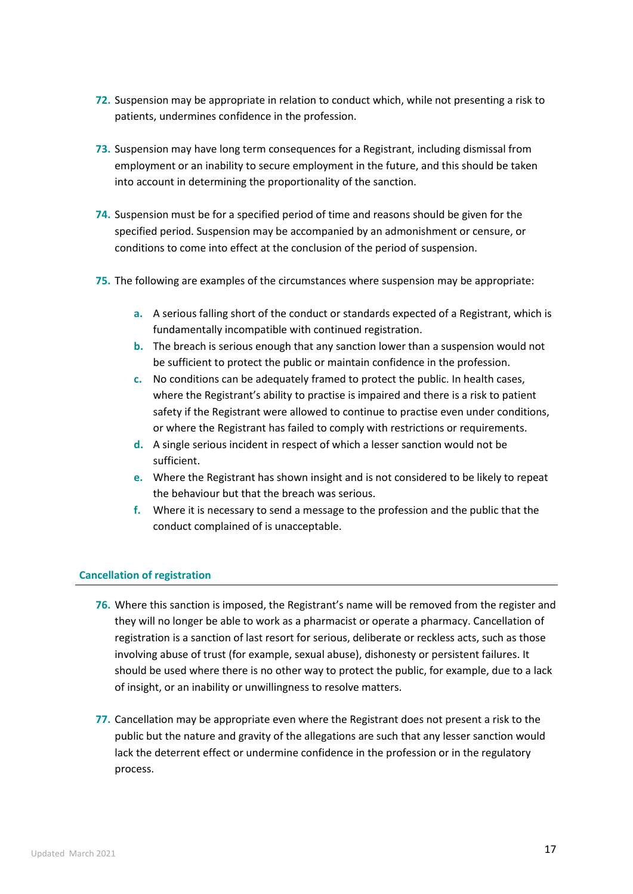- **72.** Suspension may be appropriate in relation to conduct which, while not presenting a risk to patients, undermines confidence in the profession.
- **73.** Suspension may have long term consequences for a Registrant, including dismissal from employment or an inability to secure employment in the future, and this should be taken into account in determining the proportionality of the sanction.
- **74.** Suspension must be for a specified period of time and reasons should be given for the specified period. Suspension may be accompanied by an admonishment or censure, or conditions to come into effect at the conclusion of the period of suspension.
- **75.** The following are examples of the circumstances where suspension may be appropriate:
	- **a.** A serious falling short of the conduct or standards expected of a Registrant, which is fundamentally incompatible with continued registration.
	- **b.** The breach is serious enough that any sanction lower than a suspension would not be sufficient to protect the public or maintain confidence in the profession.
	- **c.** No conditions can be adequately framed to protect the public. In health cases, where the Registrant's ability to practise is impaired and there is a risk to patient safety if the Registrant were allowed to continue to practise even under conditions, or where the Registrant has failed to comply with restrictions or requirements.
	- **d.** A single serious incident in respect of which a lesser sanction would not be sufficient.
	- **e.** Where the Registrant has shown insight and is not considered to be likely to repeat the behaviour but that the breach was serious.
	- **f.** Where it is necessary to send a message to the profession and the public that the conduct complained of is unacceptable.

#### **Cancellation of registration**

- **76.** Where this sanction is imposed, the Registrant's name will be removed from the register and they will no longer be able to work as a pharmacist or operate a pharmacy. Cancellation of registration is a sanction of last resort for serious, deliberate or reckless acts, such as those involving abuse of trust (for example, sexual abuse), dishonesty or persistent failures. It should be used where there is no other way to protect the public, for example, due to a lack of insight, or an inability or unwillingness to resolve matters.
- **77.** Cancellation may be appropriate even where the Registrant does not present a risk to the public but the nature and gravity of the allegations are such that any lesser sanction would lack the deterrent effect or undermine confidence in the profession or in the regulatory process.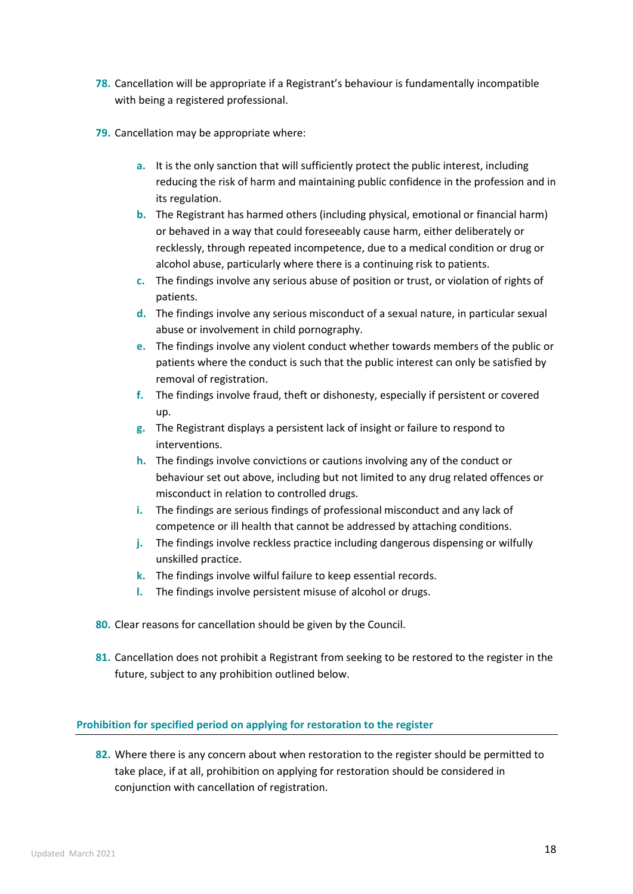- **78.** Cancellation will be appropriate if a Registrant's behaviour is fundamentally incompatible with being a registered professional.
- **79.** Cancellation may be appropriate where:
	- **a.** It is the only sanction that will sufficiently protect the public interest, including reducing the risk of harm and maintaining public confidence in the profession and in its regulation.
	- **b.** The Registrant has harmed others (including physical, emotional or financial harm) or behaved in a way that could foreseeably cause harm, either deliberately or recklessly, through repeated incompetence, due to a medical condition or drug or alcohol abuse, particularly where there is a continuing risk to patients.
	- **c.** The findings involve any serious abuse of position or trust, or violation of rights of patients.
	- **d.** The findings involve any serious misconduct of a sexual nature, in particular sexual abuse or involvement in child pornography.
	- **e.** The findings involve any violent conduct whether towards members of the public or patients where the conduct is such that the public interest can only be satisfied by removal of registration.
	- **f.** The findings involve fraud, theft or dishonesty, especially if persistent or covered up.
	- **g.** The Registrant displays a persistent lack of insight or failure to respond to interventions.
	- **h.** The findings involve convictions or cautions involving any of the conduct or behaviour set out above, including but not limited to any drug related offences or misconduct in relation to controlled drugs.
	- **i.** The findings are serious findings of professional misconduct and any lack of competence or ill health that cannot be addressed by attaching conditions.
	- **j.** The findings involve reckless practice including dangerous dispensing or wilfully unskilled practice.
	- **k.** The findings involve wilful failure to keep essential records.
	- **l.** The findings involve persistent misuse of alcohol or drugs.
- **80.** Clear reasons for cancellation should be given by the Council.
- **81.** Cancellation does not prohibit a Registrant from seeking to be restored to the register in the future, subject to any prohibition outlined below.

#### **Prohibition for specified period on applying for restoration to the register**

**82.** Where there is any concern about when restoration to the register should be permitted to take place, if at all, prohibition on applying for restoration should be considered in conjunction with cancellation of registration.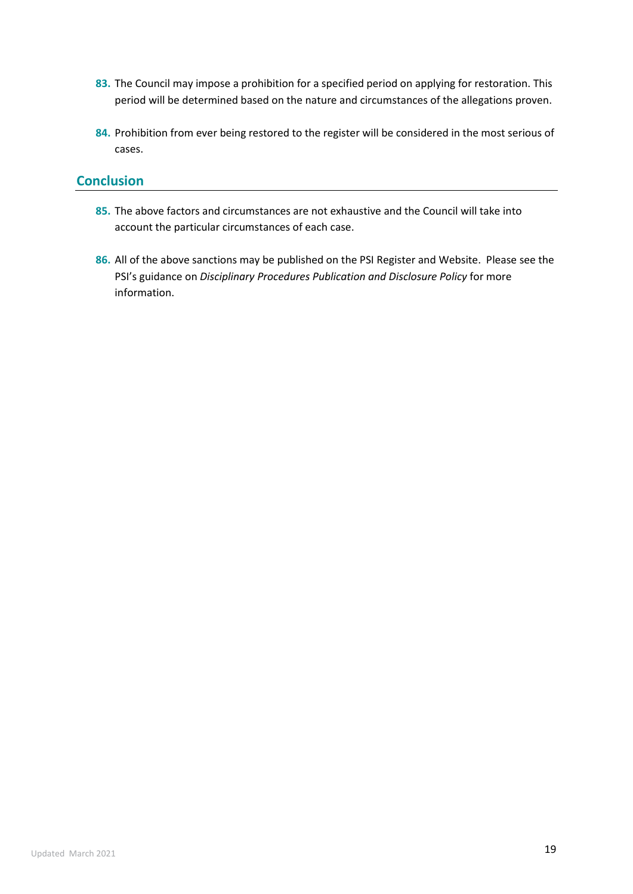- **83.** The Council may impose a prohibition for a specified period on applying for restoration. This period will be determined based on the nature and circumstances of the allegations proven.
- **84.** Prohibition from ever being restored to the register will be considered in the most serious of cases.

### **Conclusion**

- **85.** The above factors and circumstances are not exhaustive and the Council will take into account the particular circumstances of each case.
- **86.** All of the above sanctions may be published on the PSI Register and Website. Please see the PSI's guidance on *Disciplinary Procedures Publication and Disclosure Policy* for more information.